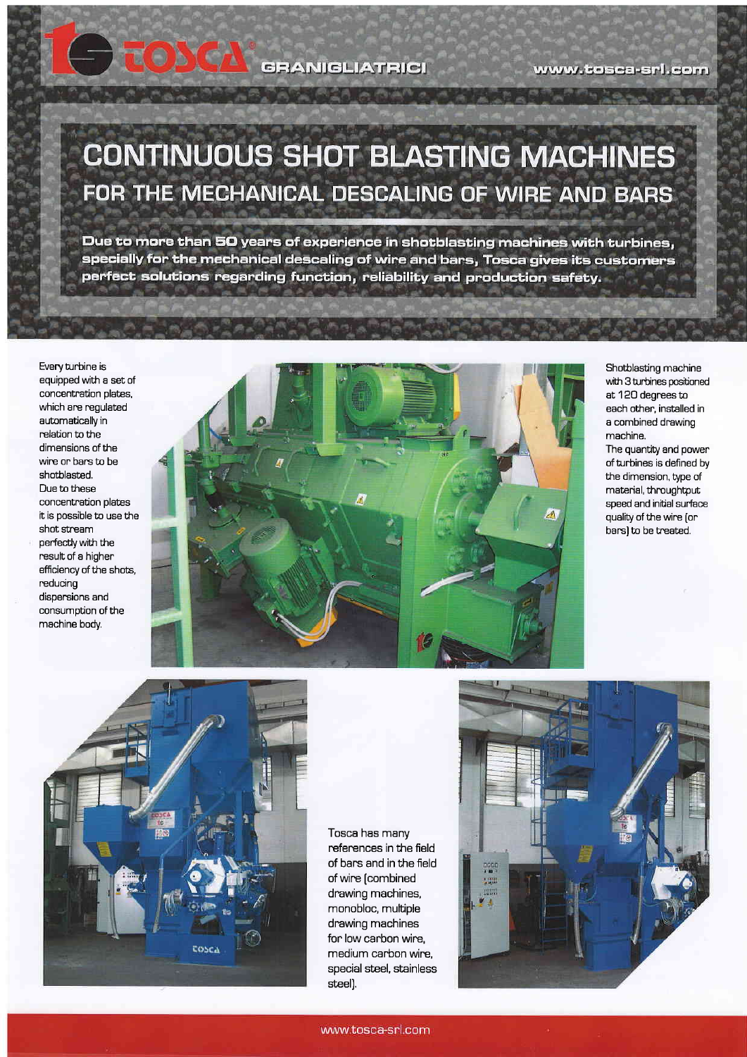**GRANIGLIATRICI** 

www.tosca-srl.com

## **CONTINUOUS SHOT BLASTING MACHINES** FOR THE MECHANICAL DESCALING OF WIRE AND BARS

Due to more than 50 years of experience in shotblasting machines with turbines, specially for the mechanical descaling of wire and bars, Tosca gives its customers perfect solutions regarding function, reliability and production safety.

Every turbine is equipped with a set of concentration plates, which are regulated automatically in relation to the dimensions of the wire on bars to be shotblasted, Due to these concentration plates it is possible to use the shot stream perfectly with the nesult of a higher efficiency of the shots, reducing dispersions and consumption of the machine body.



Shotblasting machine with 3 turbines oositioned at 1 2O degrees to each other. installed in a combined drawing machine.

The quantity and power of turbines is defined by the dimension, type of material, throughtput speed and initial surface quality of the wire [on bars) to be treated.



Tosca has many references in the field of bars and in the field of wire [combined drawing machines, monobloc, multiple drawing machines for low carbon wire, medium carbon wire, special steel, stainless steell.